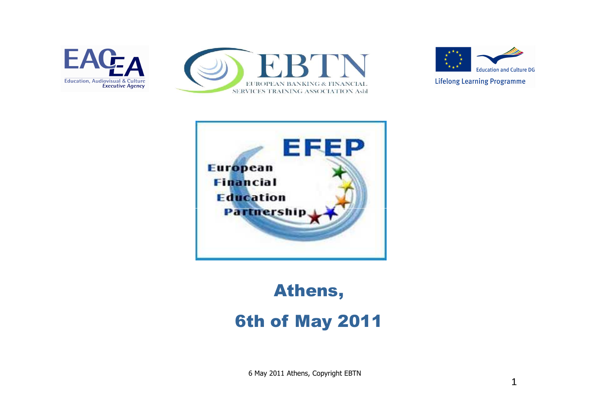







## Athens,6th of May 2011

6 May 2011 Athens, Copyright EBTN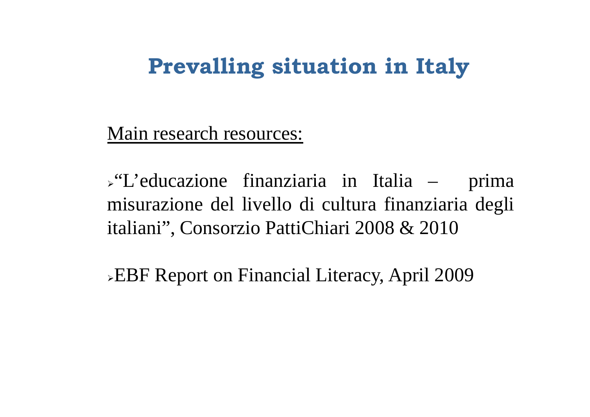## **Prevalling situation in Italy**

Main research resources:

"L'educazione finanziaria in Italia – prima misurazione del livello di cultura finanziaria degli italiani", Consorzio PattiChiari 2008 & 2010

EBF Report on Financial Literacy, April 2009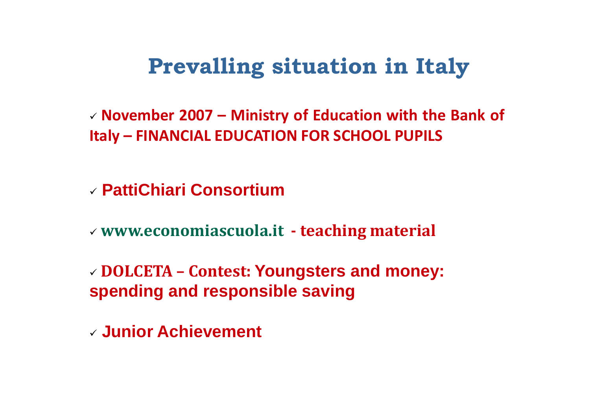## **Prevalling situation in Italy**

- **November <sup>2007</sup> – Ministry of Education with the Bank of Italy – FINANCIAL EDUCATION FOR SCHOOL PUPILS**

- **PattiChiari Consortium**

- **www.economiascuola.it - teaching material**

- **DOLCETA – Contest: Youngsters and money: spending and responsible saving**

- **Junior Achievement**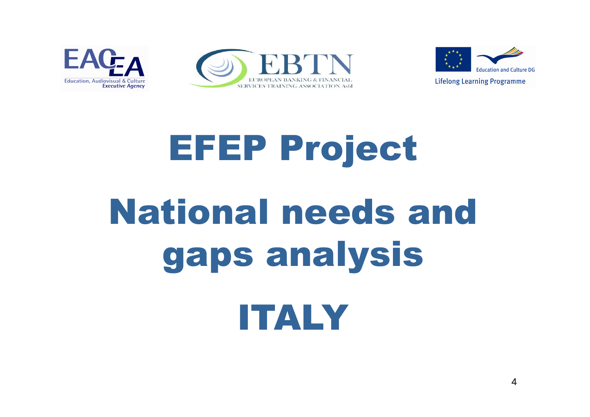





# EFEP ProjectNational needs and gaps analysisITALY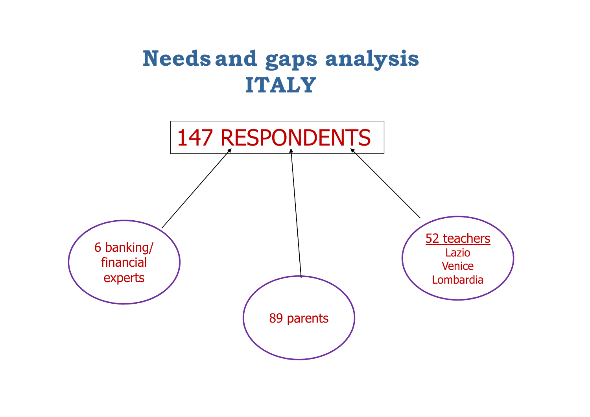## **Needs and gaps analysis ITALY**

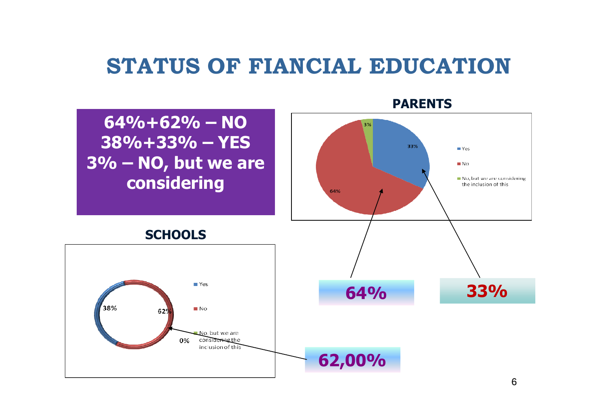#### **STATUS OF FIANCIAL EDUCATION**

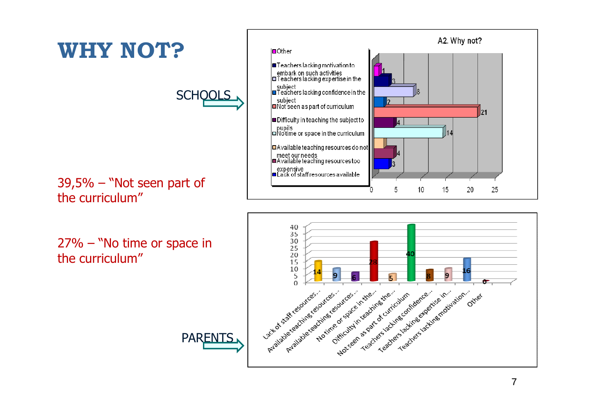

the curriculum"

27% – "No time or space in the curriculum"



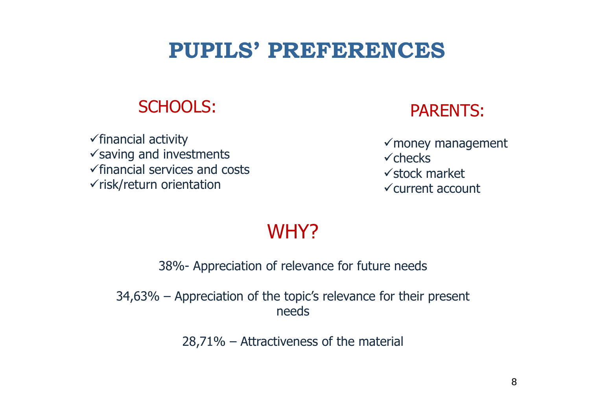## **PUPILS' PREFERENCES**

#### SCHOOLS:

√financial activity<br>√saving and inver √saving and investments<br>✓financial services and co √financial services and costs<br>√risk/return orientation  $\checkmark$ risk/return orientation



√money management<br>√checks  $\checkmark$  checks √stock market<br>√current accou -current account

#### WHY?

38%- Appreciation of relevance for future needs

34,63% – Appreciation of the topic's relevance for their present needs

28,71% – Attractiveness of the material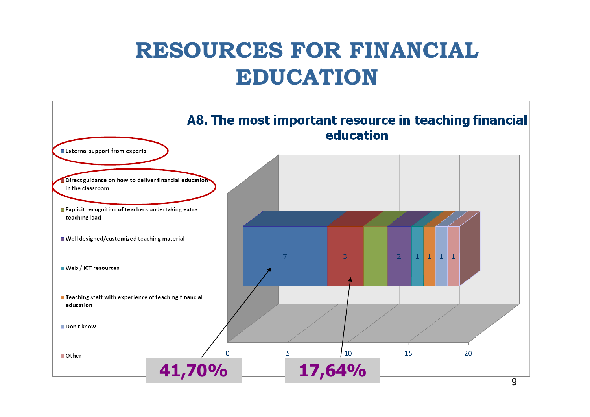## **RESOURCES FOR FINANCIAL EDUCATION**

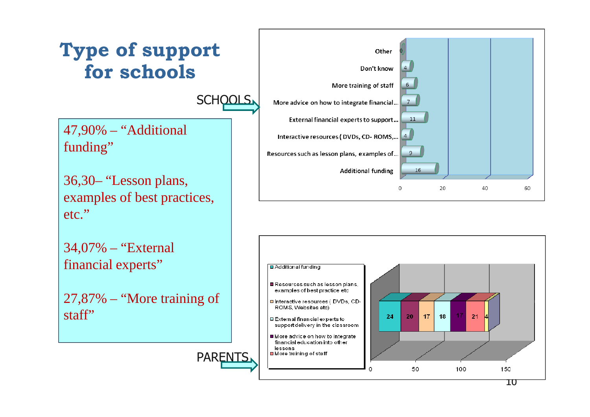

10

60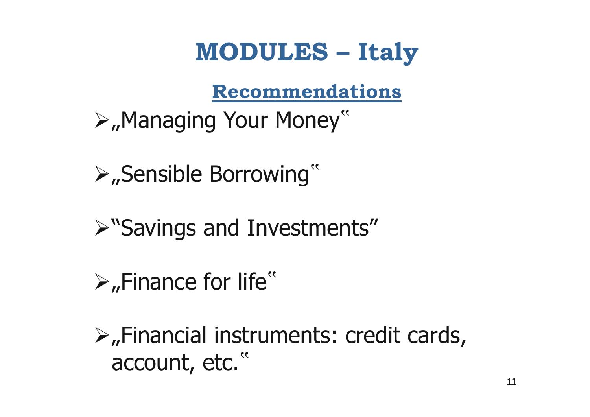## **MODULES – Italy**

#### **Recommendations**

- ⊁"Managing Your Money"
- "Sensible Borrowing"
- "Savings and Investments"
- $\triangleright$ , Finance for life"
- $\triangleright$ , Financial instruments: credit cards, account, etc."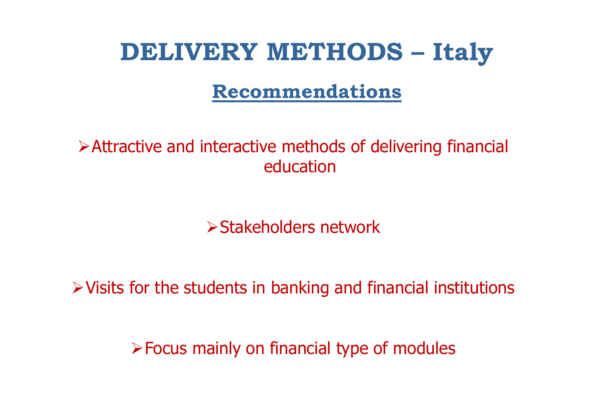## **DELIVERY METHODS – Italy**

#### **Recommendations**

#### Attractive and interactive methods of delivering financial education

Stakeholders network

 $\triangleright$  Visits for the students in banking and financial institutions

Focus mainly on financial type of modules